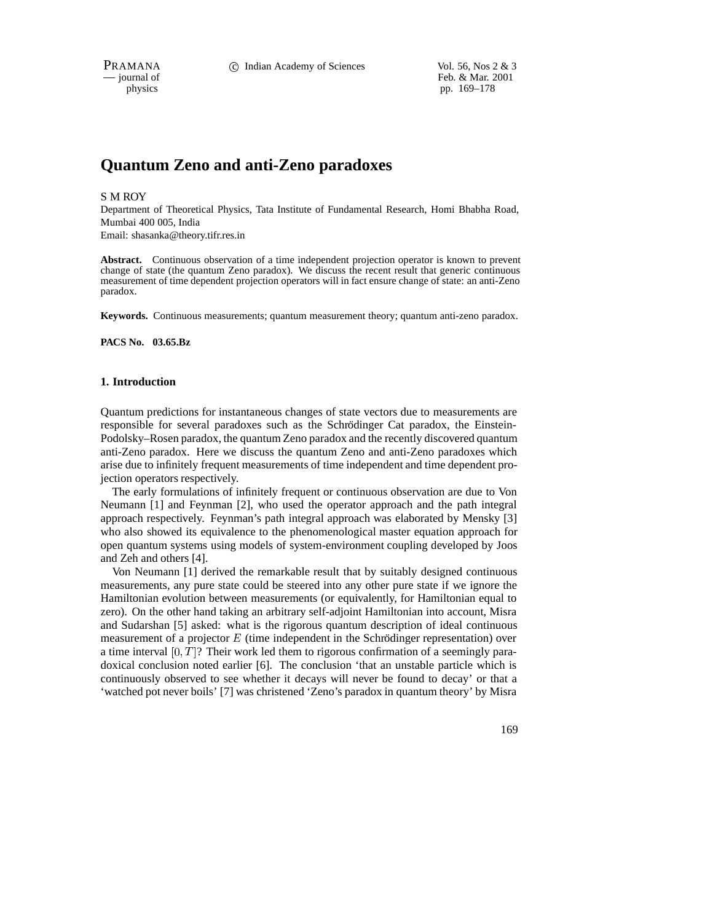PRAMANA 
<sup>c</sup> Indian Academy of Sciences Vol. 56, Nos 2 & 3<br>
- journal of Feb. & Mar. 2001 Feb. & Mar. 2001 physics pp. 169–178

# **Quantum Zeno and anti-Zeno paradoxes**

#### S M ROY

Department of Theoretical Physics, Tata Institute of Fundamental Research, Homi Bhabha Road, Mumbai 400 005, India

Email: shasanka@theory.tifr.res.in

**Abstract.** Continuous observation of a time independent projection operator is known to prevent change of state (the quantum Zeno paradox). We discuss the recent result that generic continuous measurement of time dependent projection operators will in fact ensure change of state: an anti-Zeno paradox.

**Keywords.** Continuous measurements; quantum measurement theory; quantum anti-zeno paradox.

#### **PACS No. 03.65.Bz**

## **1. Introduction**

Quantum predictions for instantaneous changes of state vectors due to measurements are responsible for several paradoxes such as the Schrödinger Cat paradox, the Einstein-Podolsky–Rosen paradox, the quantum Zeno paradox and the recently discovered quantum anti-Zeno paradox. Here we discuss the quantum Zeno and anti-Zeno paradoxes which arise due to infinitely frequent measurements of time independent and time dependent projection operators respectively.

The early formulations of infinitely frequent or continuous observation are due to Von Neumann [1] and Feynman [2], who used the operator approach and the path integral approach respectively. Feynman's path integral approach was elaborated by Mensky [3] who also showed its equivalence to the phenomenological master equation approach for open quantum systems using models of system-environment coupling developed by Joos and Zeh and others [4].

Von Neumann [1] derived the remarkable result that by suitably designed continuous measurements, any pure state could be steered into any other pure state if we ignore the Hamiltonian evolution between measurements (or equivalently, for Hamiltonian equal to zero). On the other hand taking an arbitrary self-adjoint Hamiltonian into account, Misra and Sudarshan [5] asked: what is the rigorous quantum description of ideal continuous measurement of a projector  $E$  (time independent in the Schrödinger representation) over a time interval  $[0, T]$ ? Their work led them to rigorous confirmation of a seemingly paradoxical conclusion noted earlier [6]. The conclusion 'that an unstable particle which is continuously observed to see whether it decays will never be found to decay' or that a 'watched pot never boils' [7] was christened 'Zeno's paradox in quantum theory' by Misra

169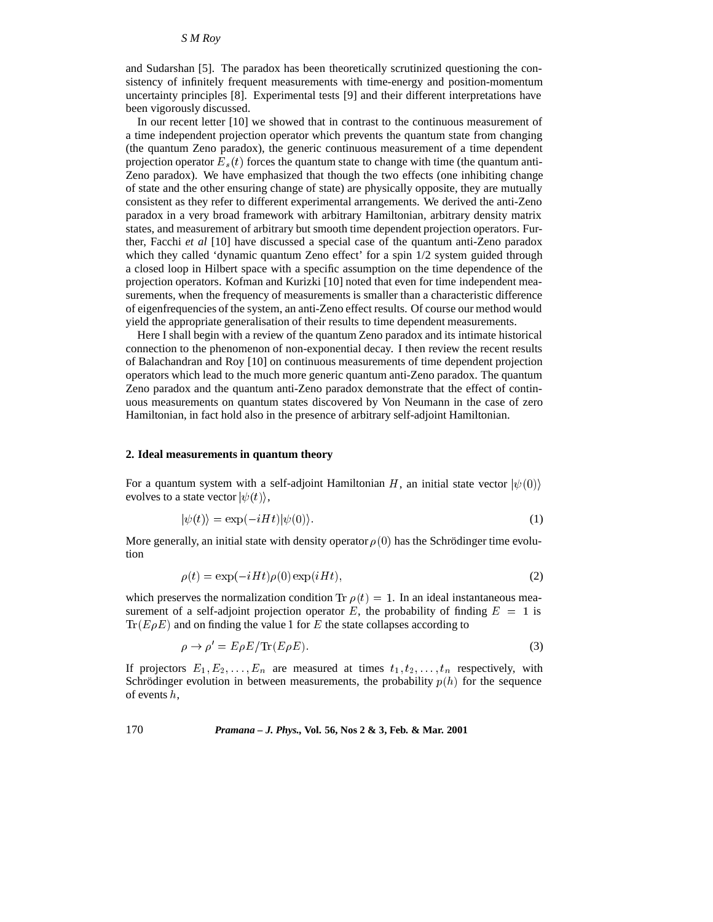and Sudarshan [5]. The paradox has been theoretically scrutinized questioning the consistency of infinitely frequent measurements with time-energy and position-momentum uncertainty principles [8]. Experimental tests [9] and their different interpretations have been vigorously discussed.

In our recent letter [10] we showed that in contrast to the continuous measurement of a time independent projection operator which prevents the quantum state from changing (the quantum Zeno paradox), the generic continuous measurement of a time dependent projection operator  $E_s(t)$  forces the quantum state to change with time (the quantum anti-Zeno paradox). We have emphasized that though the two effects (one inhibiting change of state and the other ensuring change of state) are physically opposite, they are mutually consistent as they refer to different experimental arrangements. We derived the anti-Zeno paradox in a very broad framework with arbitrary Hamiltonian, arbitrary density matrix states, and measurement of arbitrary but smooth time dependent projection operators. Further, Facchi *et al* [10] have discussed a special case of the quantum anti-Zeno paradox which they called 'dynamic quantum Zeno effect' for a spin  $1/2$  system guided through a closed loop in Hilbert space with a specific assumption on the time dependence of the projection operators. Kofman and Kurizki [10] noted that even for time independent measurements, when the frequency of measurements is smaller than a characteristic difference of eigenfrequencies of the system, an anti-Zeno effect results. Of course our method would yield the appropriate generalisation of their results to time dependent measurements.

Here I shall begin with a review of the quantum Zeno paradox and its intimate historical connection to the phenomenon of non-exponential decay. I then review the recent results of Balachandran and Roy [10] on continuous measurements of time dependent projection operators which lead to the much more generic quantum anti-Zeno paradox. The quantum Zeno paradox and the quantum anti-Zeno paradox demonstrate that the effect of continuous measurements on quantum states discovered by Von Neumann in the case of zero Hamiltonian, in fact hold also in the presence of arbitrary self-adjoint Hamiltonian.

#### **2. Ideal measurements in quantum theory**

For a quantum system with a self-adjoint Hamiltonian H, an initial state vector  $|\psi(0)\rangle$ evolves to a state vector  $|\psi(t)\rangle$ ,

$$
|\psi(t)\rangle = \exp(-iHt)|\psi(0)\rangle.
$$
 (1)

More generally, an initial state with density operator  $\rho(0)$  has the Schrödinger time evolution

$$
\rho(t) = \exp(-iHt)\rho(0)\exp(iHt),\tag{2}
$$

which preserves the normalization condition Tr  $\rho(t)=1$ . In an ideal instantaneous measurement of a self-adjoint projection operator E, the probability of finding  $E = 1$  is  $Tr(E\rho E)$  and on finding the value 1 for E the state collapses according to

$$
\rho \to \rho' = E\rho E/\mathrm{Tr}(E\rho E). \tag{3}
$$

If projectors  $E_1, E_2, \ldots, E_n$  are measured at times  $t_1, t_2, \ldots, t_n$  respectively, with Schrödinger evolution in between measurements, the probability  $p(h)$  for the sequence of events h,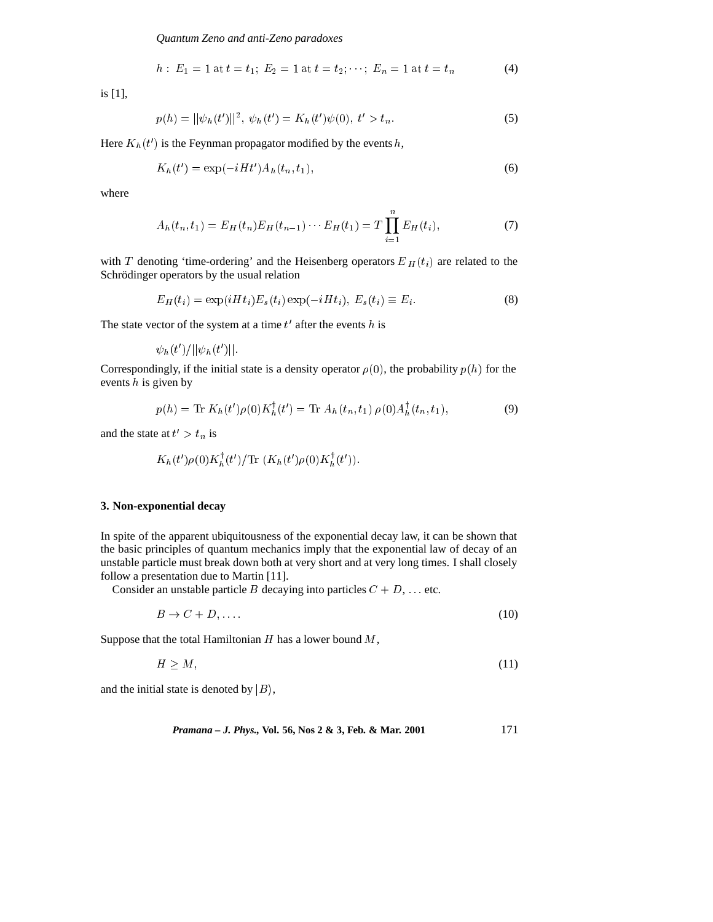*Quantum Zeno and anti-Zeno paradoxes*

$$
h: E_1 = 1 \t{at} t = t_1; E_2 = 1 \t{at} t = t_2; \cdots; E_n = 1 \t{at} t = t_n
$$
 (4)

is [1],

$$
p(h) = ||\psi_h(t')||^2, \ \psi_h(t') = K_h(t')\psi(0), \ t' > t_n. \tag{5}
$$

Here  $K_h(t')$  is the Feynman propagator modified by the events h,

$$
K_h(t') = \exp(-iHt')A_h(t_n, t_1),
$$
\n(6)

where

$$
A_h(t_n, t_1) = E_H(t_n) E_H(t_{n-1}) \cdots E_H(t_1) = T \prod_{i=1}^n E_H(t_i), \qquad (7)
$$

with T denoting 'time-ordering' and the Heisenberg operators  $E_H(t_i)$  are related to the Schrödinger operators by the usual relation

$$
E_H(t_i) = \exp(iHt_i)E_s(t_i)\exp(-iHt_i), E_s(t_i) \equiv E_i.
$$
\n(8)

The state vector of the system at a time  $t'$  after the events h is

$$
\psi_h(t')/||\psi_h(t')||.
$$

Correspondingly, if the initial state is a density operator  $\rho(0)$ , the probability  $p(h)$  for the events  $h$  is given by

$$
p(h) = \text{Tr}\; K_h(t')\rho(0)K_h^{\dagger}(t') = \text{Tr}\; A_h(t_n, t_1)\; \rho(0)A_h^{\dagger}(t_n, t_1),\tag{9}
$$

and the state at  $t' > t_n$  is

$$
K_h(t')\rho(0)K_h^{\dagger}(t')/\mathrm{Tr}(K_h(t')\rho(0)K_h^{\dagger}(t')).
$$

#### **3. Non-exponential decay**

In spite of the apparent ubiquitousness of the exponential decay law, it can be shown that the basic principles of quantum mechanics imply that the exponential law of decay of an unstable particle must break down both at very short and at very long times. I shall closely follow a presentation due to Martin [11].

Consider an unstable particle B decaying into particles  $C + D$ , ... etc.

$$
B \to C + D, \dots \tag{10}
$$

Suppose that the total Hamiltonian  $H$  has a lower bound  $M$ ,

$$
H \ge M,\tag{11}
$$

and the initial state is denoted by  $|B\rangle$ ,

*Pramana – J. Phys.,* **Vol. 56, Nos 2 & 3, Feb. & Mar. 2001** 171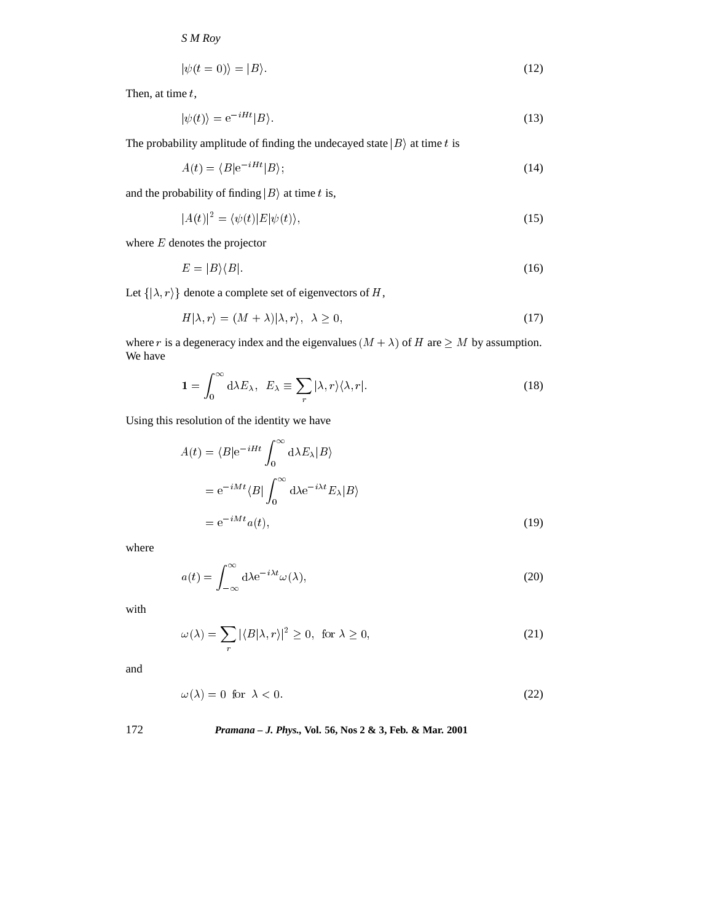$$
|\psi(t=0)\rangle = |B\rangle. \tag{12}
$$

Then, at time  $t$ ,

$$
|\psi(t)\rangle = e^{-iHt}|B\rangle.
$$
\n(13)

The probability amplitude of finding the undecayed state  $|B\rangle$  at time t is

$$
A(t) = \langle B|e^{-iHt}|B\rangle; \tag{14}
$$

and the probability of finding  $|B\rangle$  at time t is,

$$
|A(t)|^2 = \langle \psi(t) | E | \psi(t) \rangle,\tag{15}
$$

where  $E$  denotes the projector

$$
E = |B\rangle\langle B|.\tag{16}
$$

Let  $\{\vert \lambda, r \rangle\}$  denote a complete set of eigenvectors of H,

$$
H|\lambda, r\rangle = (M + \lambda)|\lambda, r\rangle, \quad \lambda \ge 0,
$$
\n(17)

where r is a degeneracy index and the eigenvalues  $(M + \lambda)$  of H are  $\geq M$  by assumption. We have

$$
1 = \int_0^\infty d\lambda E_\lambda, \quad E_\lambda \equiv \sum_r |\lambda, r\rangle \langle \lambda, r|.
$$
 (18)

Using this resolution of the identity we have

$$
A(t) = \langle B|e^{-iHt} \int_0^\infty d\lambda E_\lambda |B\rangle
$$
  
=  $e^{-iMt} \langle B| \int_0^\infty d\lambda e^{-i\lambda t} E_\lambda |B\rangle$   
=  $e^{-iMt} a(t)$ , (19)

where

$$
a(t) = \int_{-\infty}^{\infty} d\lambda e^{-i\lambda t} \omega(\lambda),
$$
 (20)

with

$$
\omega(\lambda) = \sum_{r} |\langle B|\lambda, r\rangle|^2 \ge 0, \text{ for } \lambda \ge 0,
$$
\n(21)

and

$$
\omega(\lambda) = 0 \text{ for } \lambda < 0. \tag{22}
$$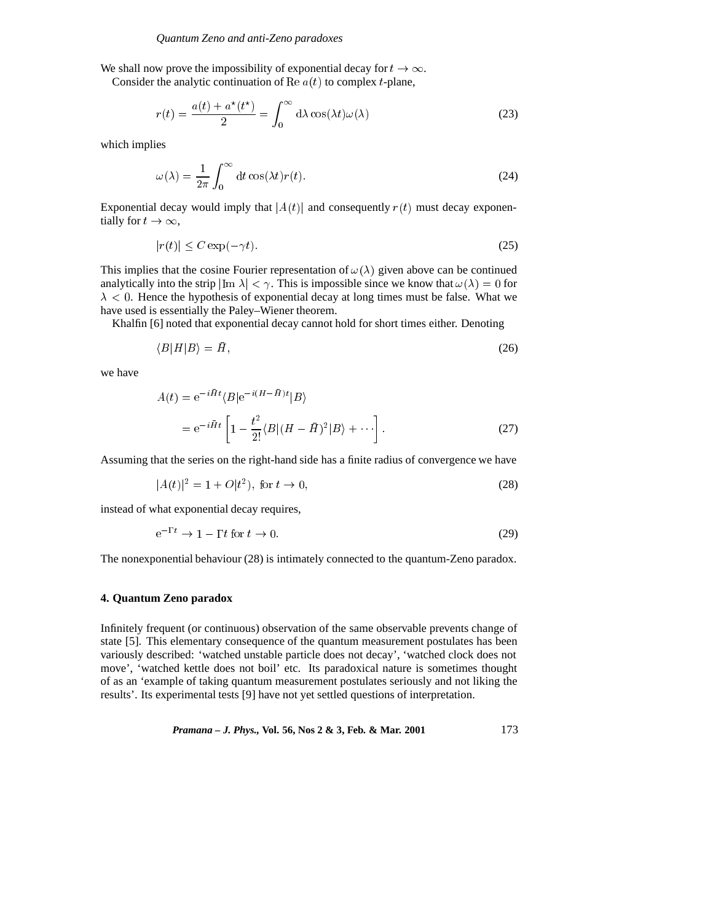We shall now prove the impossibility of exponential decay for  $t \to \infty$ .

Consider the analytic continuation of Re  $a(t)$  to complex t-plane,

$$
r(t) = \frac{a(t) + a^*(t^*)}{2} = \int_0^\infty d\lambda \cos(\lambda t) \omega(\lambda)
$$
 (23)

which implies

$$
\omega(\lambda) = \frac{1}{2\pi} \int_0^\infty dt \cos(\lambda t) r(t).
$$
\n(24)

Exponential decay would imply that  $|A(t)|$  and consequently  $r(t)$  must decay exponentially for  $t \to \infty$ ,

$$
|r(t)| \le C \exp(-\gamma t). \tag{25}
$$

This implies that the cosine Fourier representation of  $\omega(\lambda)$  given above can be continued analytically into the strip  $|\text{Im }\lambda| < \gamma$ . This is impossible since we know that  $\omega(\lambda) = 0$  for  $\lambda$  < 0. Hence the hypothesis of exponential decay at long times must be false. What we have used is essentially the Paley–Wiener theorem.

Khalfin [6] noted that exponential decay cannot hold for short times either. Denoting

$$
\langle B|H|B\rangle = \bar{H},\tag{26}
$$

we have

$$
A(t) = e^{-i\bar{H}t} \langle B|e^{-i(H-\bar{H})t}|B\rangle
$$
  
= 
$$
e^{-i\bar{H}t} \left[1 - \frac{t^2}{2!} \langle B|(H-\bar{H})^2|B\rangle + \cdots \right].
$$
 (27)

Assuming that the series on the right-hand side has a finite radius of convergence we have

$$
|A(t)|^2 = 1 + O(t^2), \text{ for } t \to 0,
$$
 (28)

instead of what exponential decay requires,

$$
e^{-1't} \to 1 - \Gamma t \text{ for } t \to 0. \tag{29}
$$

The nonexponential behaviour (28) is intimately connected to the quantum-Zeno paradox.

#### **4. Quantum Zeno paradox**

 $\mathbf{a}$ .

Infinitely frequent (or continuous) observation of the same observable prevents change of state [5]. This elementary consequence of the quantum measurement postulates has been variously described: 'watched unstable particle does not decay', 'watched clock does not move', 'watched kettle does not boil' etc. Its paradoxical nature is sometimes thought of as an 'example of taking quantum measurement postulates seriously and not liking the results'. Its experimental tests [9] have not yet settled questions of interpretation.

*Pramana – J. Phys.,* **Vol. 56, Nos 2 & 3, Feb. & Mar. 2001** 173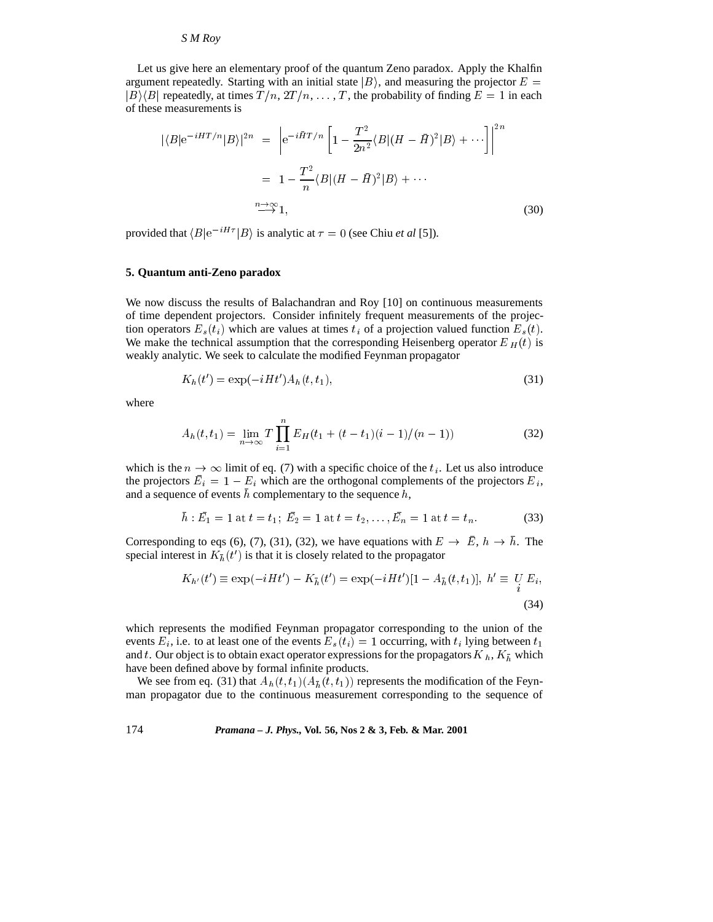Let us give here an elementary proof of the quantum Zeno paradox. Apply the Khalfin argument repeatedly. Starting with an initial state  $|B\rangle$ , and measuring the projector  $E =$  $|B\rangle\langle B|$  repeatedly, at times  $T/n$ ,  $2T/n$ ,  $\ldots$ , T, the probability of finding  $E = 1$  in each of these measurements is

$$
|\langle B|e^{-iHT/n}|B\rangle|^{2n} = \left|e^{-i\bar{H}T/n}\left[1 - \frac{T^2}{2n^2}\langle B|(H-\bar{H})^2|B\rangle + \cdots\right]\right|^{2n}
$$

$$
= 1 - \frac{T^2}{n}\langle B|(H-\bar{H})^2|B\rangle + \cdots
$$

$$
\stackrel{n \to \infty}{\longrightarrow} 1,
$$
 (30)

provided that  $\langle B|e^{-iH\tau}|B\rangle$  is analytic at  $\tau = 0$  (see Chiu *et al* [5]).

### **5. Quantum anti-Zeno paradox**

We now discuss the results of Balachandran and Roy [10] on continuous measurements of time dependent projectors. Consider infinitely frequent measurements of the projection operators  $E_s(t_i)$  which are values at times  $t_i$  of a projection valued function  $E_s(t)$ . We make the technical assumption that the corresponding Heisenberg operator  $E_H(t)$  is weakly analytic. We seek to calculate the modified Feynman propagator

$$
K_h(t') = \exp(-iHt')A_h(t, t_1),\tag{31}
$$

where

$$
A_h(t, t_1) = \lim_{n \to \infty} T \prod_{i=1}^n E_H(t_1 + (t - t_1)(i - 1)/(n - 1)) \tag{32}
$$

which is the  $n \to \infty$  limit of eq. (7) with a specific choice of the  $t_i$ . Let us also introduce the projectors  $E_i = 1 - E_i$  which are the orthogonal complements of the projectors  $E_i$ , and a sequence of events  $h$  complementary to the sequence  $h$ ,

$$
\bar{h} : \bar{E}_1 = 1 \text{ at } t = t_1; \ \bar{E}_2 = 1 \text{ at } t = t_2, \dots, \bar{E}_n = 1 \text{ at } t = t_n. \tag{33}
$$

Corresponding to eqs (6), (7), (31), (32), we have equations with  $E \to \bar{E}$ ,  $h \to \bar{h}$ . The special interest in  $K_{\bar{h}}(t')$  is that it is closely related to the propagator

$$
K_{h'}(t') \equiv \exp(-iHt') - K_{\bar{h}}(t') = \exp(-iHt')[1 - A_{\bar{h}}(t, t_1)], \ h' \equiv \underset{i}{U} E_i,
$$
\n(34)

which represents the modified Feynman propagator corresponding to the union of the events  $E_i$ , i.e. to at least one of the events  $E_s(t_i)=1$  occurring, with  $t_i$  lying between  $t_1$ and t. Our object is to obtain exact operator expressions for the propagators  $K_h$ ,  $K_{\bar{h}}$  which have been defined above by formal infinite products.

We see from eq. (31) that  $A_h(t, t_1)(A_{\bar{h}}(t, t_1))$  represents the modification of the Feynman propagator due to the continuous measurement corresponding to the sequence of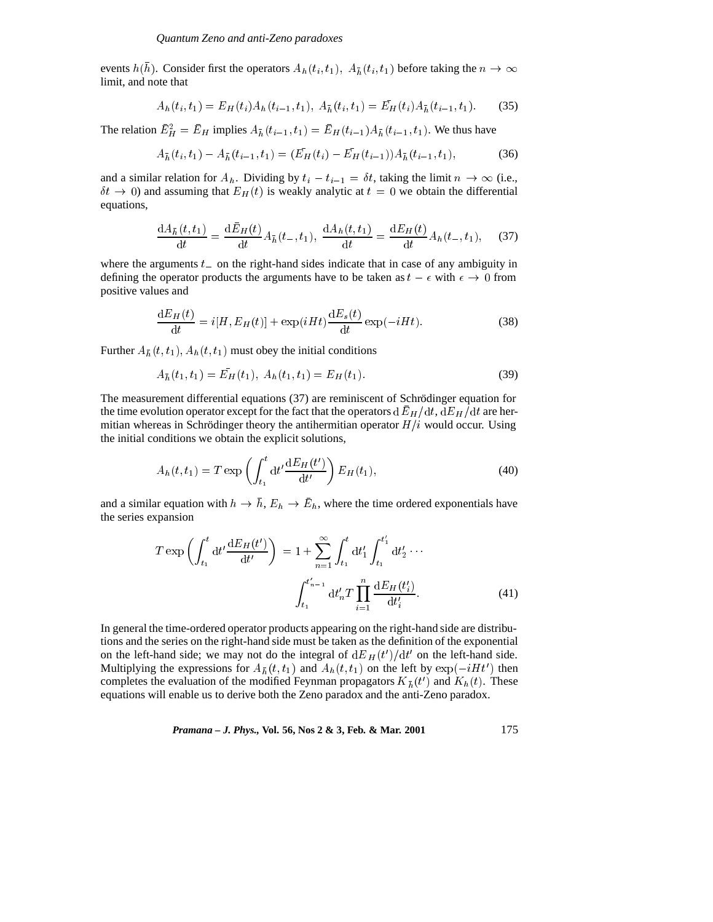events  $h(h)$ . Consider first the operators  $A_h(t_i, t_1)$ ,  $A_{\bar{h}}(t_i, t_1)$  before taking the  $n \to \infty$ limit, and note that

$$
A_h(t_i, t_1) = E_H(t_i) A_h(t_{i-1}, t_1), \ A_{\bar{h}}(t_i, t_1) = \bar{E}_H(t_i) A_{\bar{h}}(t_{i-1}, t_1). \tag{35}
$$

The relation  $E_H^2 = E_H$  implies  $A_{\bar{h}}(t_{i-1}, t_1) = E_H(t_{i-1})A_{\bar{h}}(t_{i-1}, t_1)$ . We thus have

$$
A_{\bar{h}}(t_i, t_1) - A_{\bar{h}}(t_{i-1}, t_1) = (\bar{E}_H(t_i) - \bar{E}_H(t_{i-1}))A_{\bar{h}}(t_{i-1}, t_1),
$$
\n(36)

and a similar relation for  $A_h$ . Dividing by  $t_i - t_{i-1} = \delta t$ , taking the limit  $n \to \infty$  (i.e.,  $\delta t \rightarrow 0$ ) and assuming that  $E_H(t)$  is weakly analytic at  $t = 0$  we obtain the differential equations,

$$
\frac{dA_{\bar{h}}(t,t_1)}{dt} = \frac{d\bar{E}_H(t)}{dt} A_{\bar{h}}(t_-,t_1), \ \frac{dA_h(t,t_1)}{dt} = \frac{dE_H(t)}{dt} A_h(t_-,t_1), \quad (37)
$$

where the arguments  $t_$  on the right-hand sides indicate that in case of any ambiguity in defining the operator products the arguments have to be taken as  $t - \epsilon$  with  $\epsilon \to 0$  from positive values and

$$
\frac{\mathrm{d}E_H\left(t\right)}{\mathrm{d}t} = i[H, E_H(t)] + \exp(iHt) \frac{\mathrm{d}E_s(t)}{\mathrm{d}t} \exp(-iHt). \tag{38}
$$

Further  $A_{\bar{h}}(t, t_1)$ ,  $A_h(t, t_1)$  must obey the initial conditions

$$
A_{\bar{h}}(t_1, t_1) = \bar{E}_H(t_1), \ A_h(t_1, t_1) = E_H(t_1). \tag{39}
$$

The measurement differential equations  $(37)$  are reminiscent of Schrödinger equation for the time evolution operator except for the fact that the operators  $dE_H/dt$ ,  $dE_H/dt$  are hermitian whereas in Schrödinger theory the antihermitian operator  $H/i$  would occur. Using the initial conditions we obtain the explicit solutions,

$$
A_h(t, t_1) = T \exp\left(\int_{t_1}^t dt' \frac{dE_H(t')}{dt'}\right) E_H(t_1),\tag{40}
$$

and a similar equation with  $h \to h$ ,  $E_h \to E_h$ , where the time ordered exponentials have the series expansion

$$
T \exp\left(\int_{t_1}^t dt' \frac{dE_H(t')}{dt'}\right) = 1 + \sum_{n=1}^{\infty} \int_{t_1}^t dt'_1 \int_{t_1}^{t'_1} dt'_2 \cdots
$$

$$
\int_{t_1}^{t'_{n-1}} dt'_n T \prod_{i=1}^n \frac{dE_H(t'_i)}{dt'_i}.
$$
(41)

In general the time-ordered operator products appearing on the right-hand side are distributions and the series on the right-hand side must be taken as the definition of the exponential on the left-hand side; we may not do the integral of  $dE_H(t')/dt'$  on the left-hand side. Multiplying the expressions for  $A_{\bar{h}}(t, t_1)$  and  $A_h(t, t_1)$  on the left by  $\exp(-iH t')$  then completes the evaluation of the modified Feynman propagators  $K_{\bar{h}}(t')$  and  $K_h(t)$ . These equations will enable us to derive both the Zeno paradox and the anti-Zeno paradox.

*Pramana – J. Phys.,* **Vol. 56, Nos 2 & 3, Feb. & Mar. 2001** 175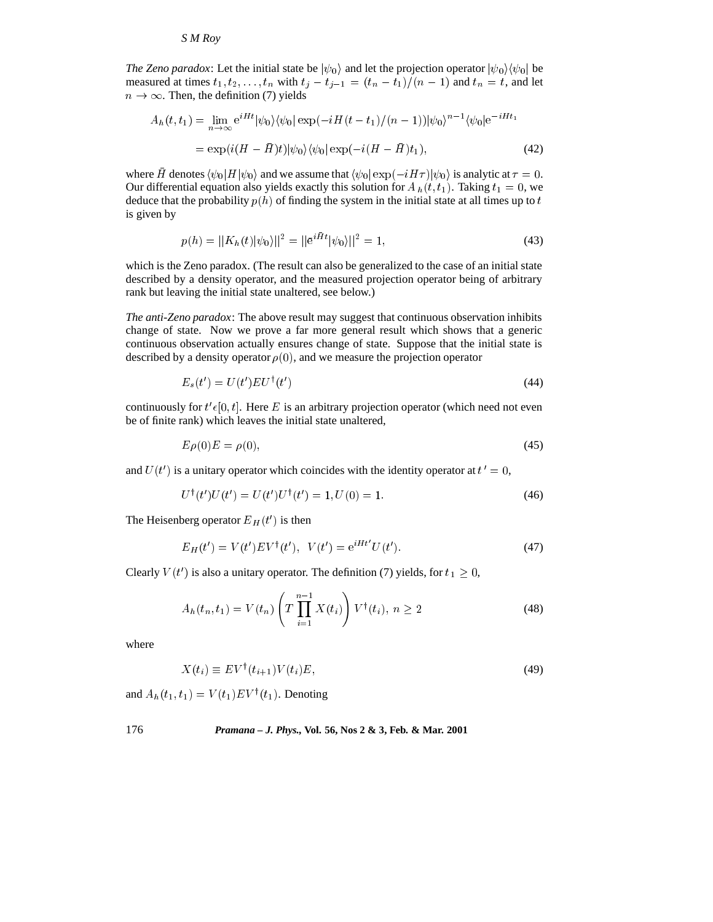*The Zeno paradox*: Let the initial state be  $|\psi_0\rangle$  and let the projection operator  $|\psi_0\rangle \langle \psi_0|$  be measured at times  $t_1, t_2,...,t_n$  with  $t_j - t_{j-1} = (t_n - t_1)/(n - 1)$  and  $t_n = t$ , and let  $n \to \infty$ . Then, the definition (7) yields

$$
A_h(t, t_1) = \lim_{n \to \infty} e^{iHt} |\psi_0\rangle \langle \psi_0| \exp(-iH(t - t_1)/(n - 1)) |\psi_0\rangle^{n-1} \langle \psi_0| e^{-iHt_1}
$$

$$
= \exp(i(H - \bar{H})t) |\psi_0\rangle \langle \psi_0| \exp(-i(H - \bar{H})t_1), \tag{42}
$$

where H denotes  $\langle \psi_0 | H | \psi_0 \rangle$  and we assume that  $\langle \psi_0 | \exp(-iH\tau) | \psi_0 \rangle$  is analytic at  $\tau = 0$ . Our differential equation also yields exactly this solution for  $A_h(t, t_1)$ . Taking  $t_1 = 0$ , we deduce that the probability  $p(h)$  of finding the system in the initial state at all times up to t is given by

$$
p(h) = ||K_h(t)|\psi_0||^2 = ||\bar{e}^{i\bar{H}t}|\psi_0\rangle||^2 = 1,
$$
\n(43)

which is the Zeno paradox. (The result can also be generalized to the case of an initial state described by a density operator, and the measured projection operator being of arbitrary rank but leaving the initial state unaltered, see below.)

*The anti-Zeno paradox*: The above result may suggest that continuous observation inhibits change of state. Now we prove a far more general result which shows that a generic continuous observation actually ensures change of state. Suppose that the initial state is described by a density operator  $\rho(0)$ , and we measure the projection operator

$$
E_s(t') = U(t') EU^{\dagger}(t')
$$
\n(44)

continuously for  $t' \epsilon [0, t]$ . Here E is an arbitrary projection operator (which need not even be of finite rank) which leaves the initial state unaltered,

$$
E\rho(0)E = \rho(0),\tag{45}
$$

and  $U(t')$  is a unitary operator which coincides with the identity operator at  $t' = 0$ ,

$$
U^{\dagger}(t')U(t') = U(t')U^{\dagger}(t') = 1, U(0) = 1.
$$
\n(46)

The Heisenberg operator  $E_H(t')$  is then

$$
E_H(t') = V(t')EV^{\dagger}(t'), \ \ V(t') = e^{iHt'}U(t'). \tag{47}
$$

Clearly  $V(t')$  is also a unitary operator. The definition (7) yields, for  $t_1 \geq 0$ ,

$$
A_h(t_n, t_1) = V(t_n) \left( T \prod_{i=1}^{n-1} X(t_i) \right) V^{\dagger}(t_i), \ n \ge 2 \tag{48}
$$

where

$$
X(t_i) \equiv EV^{\dagger}(t_{i+1})V(t_i)E,\tag{49}
$$

and  $A_h(t_1, t_1) = V(t_1)EV^{\dagger}(t_1)$ . Denoting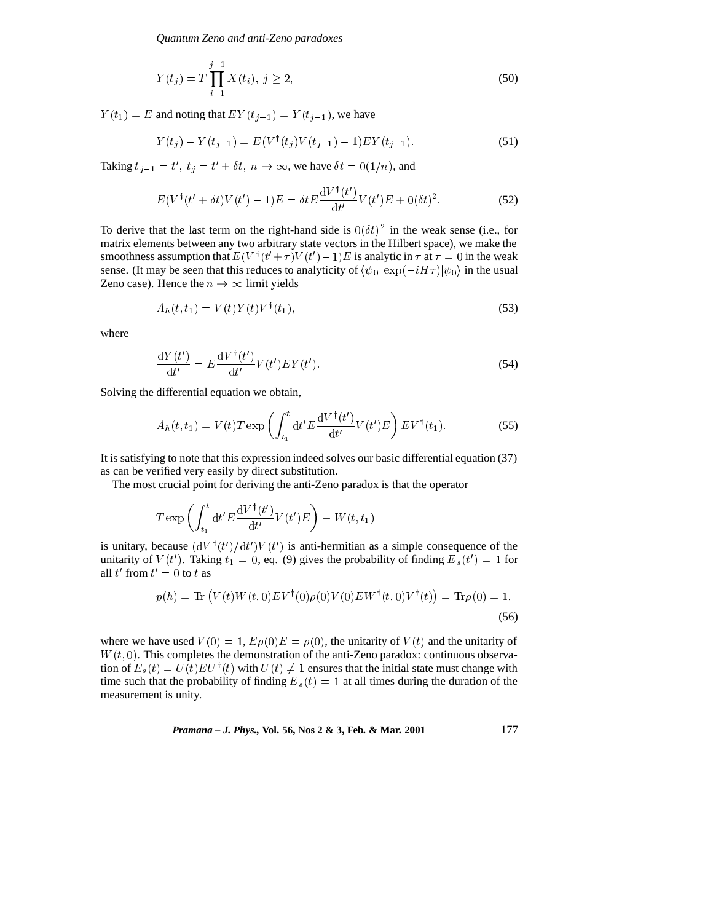*Quantum Zeno and anti-Zeno paradoxes*

$$
Y(t_j) = T \prod_{i=1}^{j-1} X(t_i), \ j \ge 2,
$$
\n(50)

 $Y(t_1)=E$  and noting that  $E(Y(t_{j-1})= Y(t_{j-1})$ , we have

$$
Y(t_j) - Y(t_{j-1}) = E(V^{\dagger}(t_j)V(t_{j-1}) - 1)EY(t_{j-1}).
$$
\n(51)

Taking  $t_{j-1} = t'$ ,  $t_j = t' + \delta t$ ,  $n \to \infty$ , we have  $\delta t = 0(1/n)$ , and

$$
E(V^{\dagger}(t'+\delta t)V(t')-1)E = \delta t E \frac{\mathrm{d}V^{\dagger}(t')}{\mathrm{d}t'}V(t')E + 0(\delta t)^2.
$$
 (52)

To derive that the last term on the right-hand side is  $0(\delta t)^2$  in the weak sense (i.e., for matrix elements between any two arbitrary state vectors in the Hilbert space), we make the smoothness assumption that  $E(V^{\dagger}(t'+\tau)V(t')-1)E$  is analytic in  $\tau$  at  $\tau = 0$  in the weak sense. (It may be seen that this reduces to analyticity of  $\langle \psi_0 | \exp(-iH \tau) | \psi_0 \rangle$  in the usual Zeno case). Hence the  $n \to \infty$  limit yields

$$
A_h(t, t_1) = V(t)Y(t)V^{\dagger}(t_1), \qquad (53)
$$

where

$$
\frac{\mathrm{d}Y(t')}{\mathrm{d}t'} = E \frac{\mathrm{d}V^{\dagger}(t')}{\mathrm{d}t'} V(t') E Y(t'). \tag{54}
$$

Solving the differential equation we obtain,

$$
A_h(t, t_1) = V(t)T \exp\left(\int_{t_1}^t \mathrm{d}t' E \frac{\mathrm{d}V^\dagger(t')}{\mathrm{d}t'} V(t') E\right) E V^\dagger(t_1). \tag{55}
$$

It is satisfying to note that this expression indeed solves our basic differential equation (37) as can be verified very easily by direct substitution.

The most crucial point for deriving the anti-Zeno paradox is that the operator

$$
T \exp \left( \int_{t_1}^t \mathrm{d}t' E \frac{\mathrm{d}V^\dagger(t')}{\mathrm{d}t'} V(t') E \right) \equiv W(t,t_1)
$$

is unitary, because  $(dV^{\dagger}(t')/dt')V(t')$  is anti-hermitian as a simple consequence of the unitarity of  $V(t')$ . Taking  $t_1 = 0$ , eq. (9) gives the probability of finding  $E_s(t') = 1$  for all t' from  $t' = 0$  to t as

$$
p(h) = \text{Tr}\left(V(t)W(t,0)EV^{\dagger}(0)\rho(0)V(0)EW^{\dagger}(t,0)V^{\dagger}(t)\right) = \text{Tr}\rho(0) = 1,
$$
\n(56)

where we have used  $V(0) = 1$ ,  $E[\rho(0)]E = \rho(0)$ , the unitarity of  $V(t)$  and the unitarity of  $W(t, 0)$ . This completes the demonstration of the anti-Zeno paradox: continuous observation of  $E_s(t) = U(t)EU^{\dagger}(t)$  with  $U(t) \neq 1$  ensures that the initial state must change with time such that the probability of finding  $E_s(t)=1$  at all times during the duration of the measurement is unity.

*Pramana – J. Phys.,* **Vol. 56, Nos 2 & 3, Feb. & Mar. 2001** 177